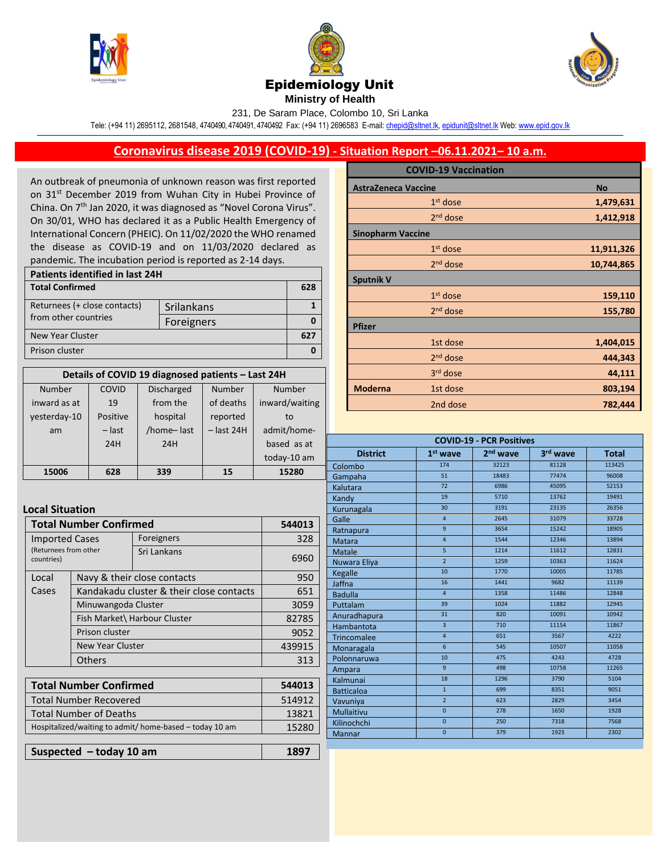





## Epidemiology Unit

**Ministry of Health**  231, De Saram Place, Colombo 10, Sri Lanka

Tele: (+94 11) 2695112, 2681548, 4740490, 4740491, 4740492 Fax: (+94 11) 2696583 E-mail[: chepid@sltnet.lk,](mailto:chepi@sltnet.lk) [epidunit@sltnet.lk](mailto:epidunit@sltnet.lk) Web[: www.epid.gov.lk](http://www.epid.gov.lk/)

## **Coronavirus disease 2019 (COVID-19) - Situation Report –06.11.2021– 10 a.m.**

An outbreak of pneumonia of unknown reason was first reported on 31<sup>st</sup> December 2019 from Wuhan City in Hubei Province of China. On 7<sup>th</sup> Jan 2020, it was diagnosed as "Novel Corona Virus". On 30/01, WHO has declared it as a Public Health Emergency of International Concern (PHEIC). On 11/02/2020 the WHO renamed the disease as COVID-19 and on 11/03/2020 declared as pandemic. The incubation period is reported as 2-14 days.

| Patients identified in last 24H |            |     |  |
|---------------------------------|------------|-----|--|
| <b>Total Confirmed</b>          |            | 628 |  |
| Returnees (+ close contacts)    | Srilankans |     |  |
| from other countries            | Foreigners |     |  |
| New Year Cluster                |            | 62  |  |
| Prison cluster                  |            |     |  |

| Details of COVID 19 diagnosed patients - Last 24H |          |                   |              |                |
|---------------------------------------------------|----------|-------------------|--------------|----------------|
| Number                                            | COVID    | <b>Discharged</b> | Number       | Number         |
| inward as at                                      | 19       | from the          | of deaths    | inward/waiting |
| yesterday-10                                      | Positive | hospital          | reported     | to             |
| am                                                | $-$ last | /home-last        | $-$ last 24H | admit/home-    |
|                                                   | 24H      | 24H               |              | based as at    |
|                                                   |          |                   |              | today-10 am    |
| 15006                                             | 628      | 339               | 15           | 15280          |

## **Local Situation**

| <b>Total Number Confirmed</b>                                                             |                                          | 544013                      |        |
|-------------------------------------------------------------------------------------------|------------------------------------------|-----------------------------|--------|
| Foreigners<br><b>Imported Cases</b><br>(Returnees from other<br>Sri Lankans<br>countries) |                                          |                             | 328    |
|                                                                                           |                                          |                             | 6960   |
| Local                                                                                     |                                          | Navy & their close contacts |        |
| Cases                                                                                     | Kandakadu cluster & their close contacts |                             | 651    |
|                                                                                           | Minuwangoda Cluster                      |                             | 3059   |
|                                                                                           | Fish Market\ Harbour Cluster             |                             | 82785  |
|                                                                                           | Prison cluster                           |                             | 9052   |
|                                                                                           | <b>New Year Cluster</b>                  |                             | 439915 |
|                                                                                           | <b>Others</b>                            |                             | 313    |
|                                                                                           |                                          |                             |        |

| <b>Total Number Confirmed</b>                           | 544013 |
|---------------------------------------------------------|--------|
| <b>Total Number Recovered</b>                           | 514912 |
| <b>Total Number of Deaths</b>                           | 13821  |
| Hospitalized/waiting to admit/ home-based – today 10 am | 15280  |
|                                                         |        |
| Suspected - today 10 am                                 | 1897   |

| <b>COVID-19 Vaccination</b> |            |
|-----------------------------|------------|
| <b>AstraZeneca Vaccine</b>  | <b>No</b>  |
| $1st$ dose                  | 1,479,631  |
| 2 <sup>nd</sup> dose        | 1,412,918  |
| <b>Sinopharm Vaccine</b>    |            |
| $1st$ dose                  | 11,911,326 |
| $2nd$ dose                  | 10,744,865 |
| <b>Sputnik V</b>            |            |
| 1 <sup>st</sup> dose        | 159,110    |
| $2nd$ dose                  | 155,780    |
| <b>Pfizer</b>               |            |
| 1st dose                    | 1,404,015  |
| $2nd$ dose                  | 444,343    |
| 3 <sup>rd</sup> dose        | 44,111     |
| <b>Moderna</b><br>1st dose  | 803,194    |
| 2nd dose                    | 782,444    |

| <b>COVID-19 - PCR Positives</b> |                 |                      |          |              |
|---------------------------------|-----------------|----------------------|----------|--------------|
| <b>District</b>                 | $1st$ wave      | 2 <sup>nd</sup> wave | 3rd wave | <b>Total</b> |
| Colombo                         | 174             | 32123                | 81128    | 113425       |
| Gampaha                         | 51              | 18483                | 77474    | 96008        |
| Kalutara                        | 72              | 6986                 | 45095    | 52153        |
| Kandy                           | 19              | 5710                 | 13762    | 19491        |
| Kurunagala                      | 30              | 3191                 | 23135    | 26356        |
| Galle                           | $\overline{4}$  | 2645                 | 31079    | 33728        |
| Ratnapura                       | 9               | 3654                 | 15242    | 18905        |
| Matara                          | $\overline{4}$  | 1544                 | 12346    | 13894        |
| <b>Matale</b>                   | 5               | 1214                 | 11612    | 12831        |
| Nuwara Eliya                    | $\overline{2}$  | 1259                 | 10363    | 11624        |
| Kegalle                         | 10              | 1770                 | 10005    | 11785        |
| Jaffna                          | 16              | 1441                 | 9682     | 11139        |
| <b>Badulla</b>                  | $\overline{4}$  | 1358                 | 11486    | 12848        |
| Puttalam                        | 39              | 1024                 | 11882    | 12945        |
| Anuradhapura                    | $\overline{31}$ | 820                  | 10091    | 10942        |
| Hambantota                      | $\overline{3}$  | 710                  | 11154    | 11867        |
| <b>Trincomalee</b>              | $\overline{4}$  | 651                  | 3567     | 4222         |
| Monaragala                      | $\overline{6}$  | 545                  | 10507    | 11058        |
| Polonnaruwa                     | 10              | 475                  | 4243     | 4728         |
| Ampara                          | $\mathbf{q}$    | 498                  | 10758    | 11265        |
| Kalmunai                        | 18              | 1296                 | 3790     | 5104         |
| <b>Batticaloa</b>               | $\mathbf{1}$    | 699                  | 8351     | 9051         |
| Vavuniya                        | $\overline{2}$  | 623                  | 2829     | 3454         |
| <b>Mullaitivu</b>               | $\overline{0}$  | 278                  | 1650     | 1928         |
| Kilinochchi                     | $\overline{0}$  | 250                  | 7318     | 7568         |
| <b>Mannar</b>                   | $\overline{0}$  | 379                  | 1923     | 2302         |